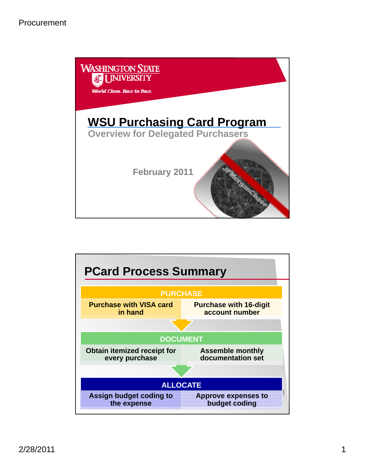

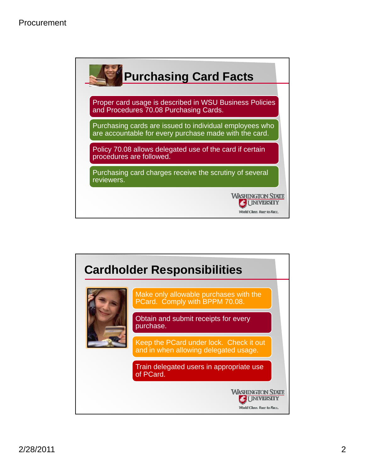|            | Proper card usage is described in WSU Business Policies<br>and Procedures 70.08 Purchasing Cards.                 |
|------------|-------------------------------------------------------------------------------------------------------------------|
|            | Purchasing cards are issued to individual employees who<br>are accountable for every purchase made with the card. |
|            | Policy 70.08 allows delegated use of the card if certain<br>procedures are followed.                              |
| reviewers. | Purchasing card charges receive the scrutiny of several                                                           |

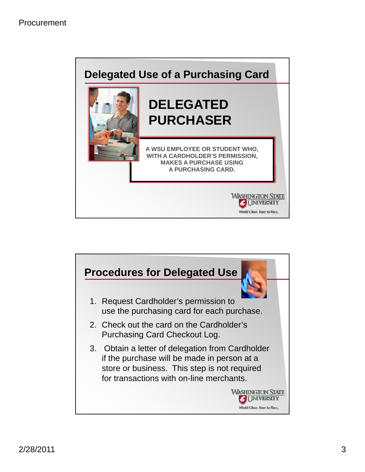

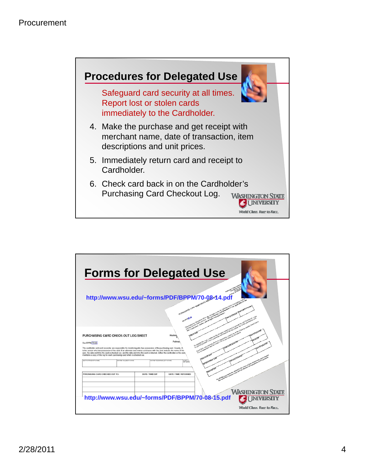

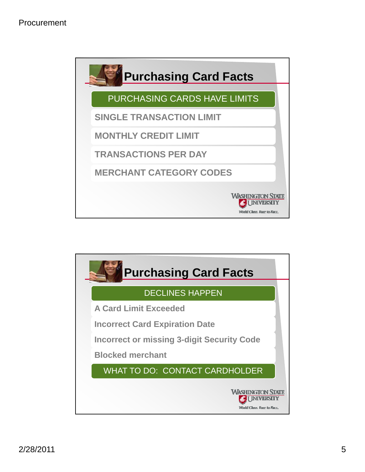

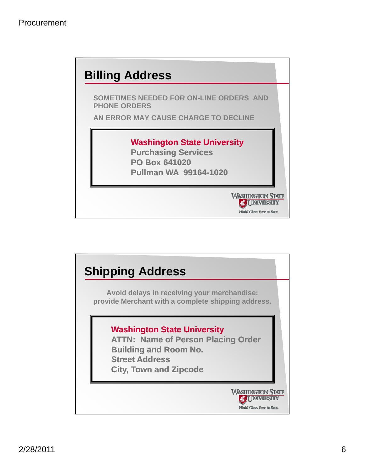

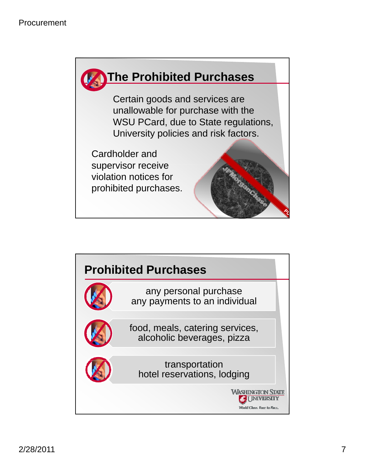

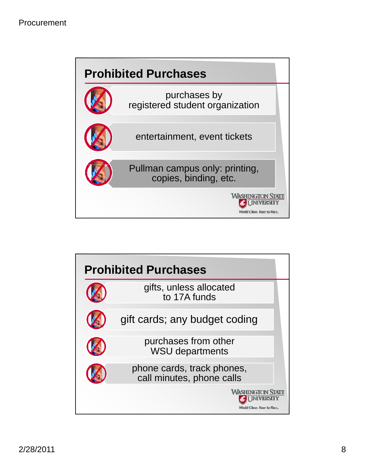

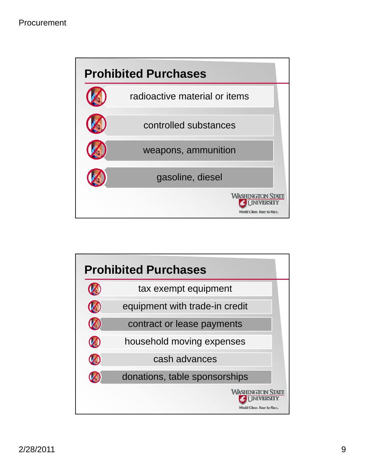

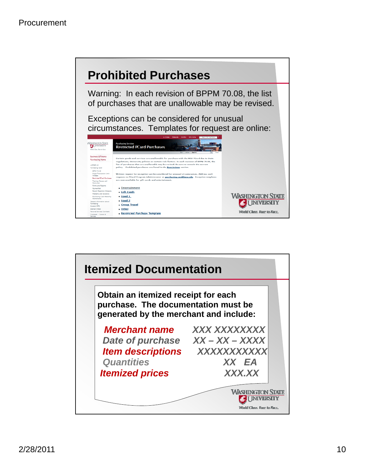

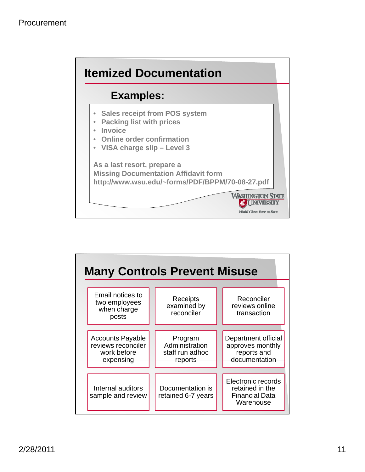

| <b>Many Controls Prevent Misuse</b>                                       |  |                                                         |  |                                                                             |  |  |
|---------------------------------------------------------------------------|--|---------------------------------------------------------|--|-----------------------------------------------------------------------------|--|--|
| Email notices to<br>two employees<br>when charge<br>posts                 |  | Receipts<br>examined by<br>reconciler                   |  | Reconciler<br>reviews online<br>transaction                                 |  |  |
| <b>Accounts Payable</b><br>reviews reconciler<br>work before<br>expensing |  | Program<br>Administration<br>staff run adhoc<br>reports |  | Department official<br>approves monthly<br>reports and<br>documentation     |  |  |
| Internal auditors<br>sample and review                                    |  | Documentation is<br>retained 6-7 years                  |  | Electronic records<br>retained in the<br><b>Financial Data</b><br>Warehouse |  |  |